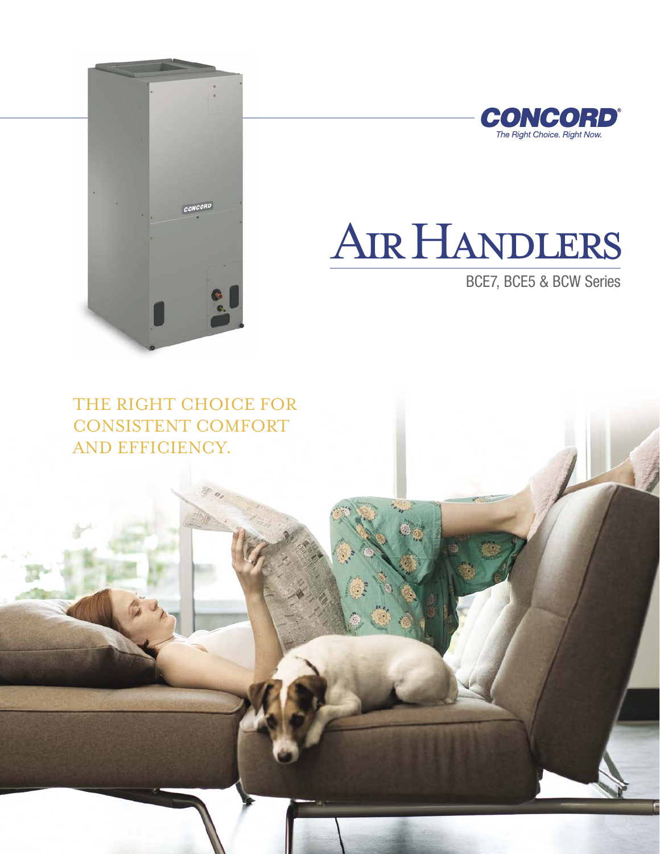



# Air Handlers

BCE7, BCE5 & BCW Series

THE RIGHT CHOICE FOR CONSISTENT COMFORT AND EFFICIENCY.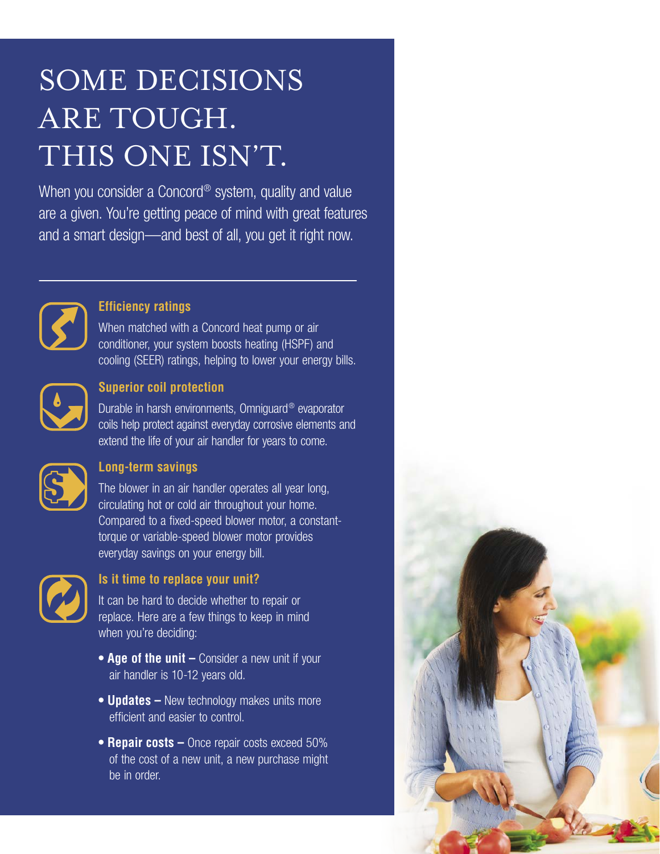# SOME DECISIONS ARE TOUGH. THIS ONE ISN'T.

When you consider a Concord<sup>®</sup> system, quality and value are a given. You're getting peace of mind with great features and a smart design—and best of all, you get it right now.



#### **Efficiency ratings**

When matched with a Concord heat pump or air conditioner, your system boosts heating (HSPF) and cooling (SEER) ratings, helping to lower your energy bills.



#### **Superior coil protection**

Durable in harsh environments, Omniguard® evaporator coils help protect against everyday corrosive elements and extend the life of your air handler for years to come.



#### **Long-term savings**

The blower in an air handler operates all year long, circulating hot or cold air throughout your home. Compared to a fixed-speed blower motor, a constanttorque or variable-speed blower motor provides everyday savings on your energy bill.



#### **Is it time to replace your unit?**

It can be hard to decide whether to repair or replace. Here are a few things to keep in mind when you're deciding:

- **Age of the unit –** Consider a new unit if your air handler is 10-12 years old.
- **Updates –** New technology makes units more efficient and easier to control.
- **Repair costs –** Once repair costs exceed 50% of the cost of a new unit, a new purchase might be in order.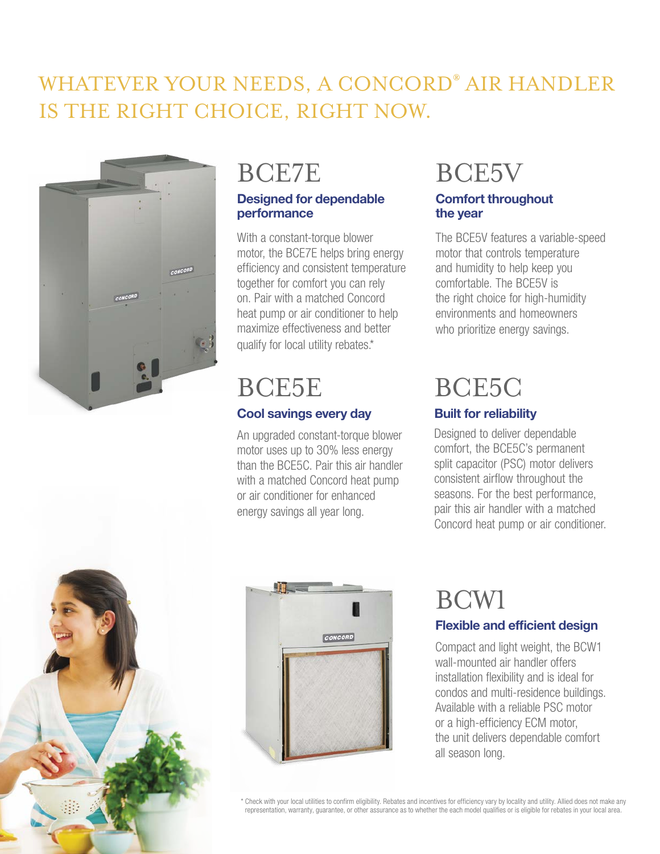### WHATEVER YOUR NEEDS, A CONCORD® AIR HANDLER IS THE RIGHT CHOICE, RIGHT NOW.



### BCE7E

#### **Designed for dependable performance**

With a constant-torque blower motor, the BCE7E helps bring energy efficiency and consistent temperature together for comfort you can rely on. Pair with a matched Concord heat pump or air conditioner to help maximize effectiveness and better qualify for local utility rebates.\*

### BCE5E

### **Cool savings every day**

An upgraded constant-torque blower motor uses up to 30% less energy than the BCE5C. Pair this air handler with a matched Concord heat pump or air conditioner for enhanced energy savings all year long.

### BCE5V

#### **Comfort throughout the year**

The BCE5V features a variable-speed motor that controls temperature and humidity to help keep you comfortable. The BCE5V is the right choice for high-humidity environments and homeowners who prioritize energy savings.

### BCE5C

### **Built for reliability**

Designed to deliver dependable comfort, the BCE5C's permanent split capacitor (PSC) motor delivers consistent airflow throughout the seasons. For the best performance, pair this air handler with a matched Concord heat pump or air conditioner.





## BCW1

### **Flexible and efficient design**

Compact and light weight, the BCW1 wall-mounted air handler offers installation flexibility and is ideal for condos and multi-residence buildings. Available with a reliable PSC motor or a high-efficiency ECM motor, the unit delivers dependable comfort all season long.

\* Check with your local utilities to confirm eligibility. Rebates and incentives for efficiency vary by locality and utility. Allied does not make any representation, warranty, guarantee, or other assurance as to whether the each model qualifies or is eligible for rebates in your local area.